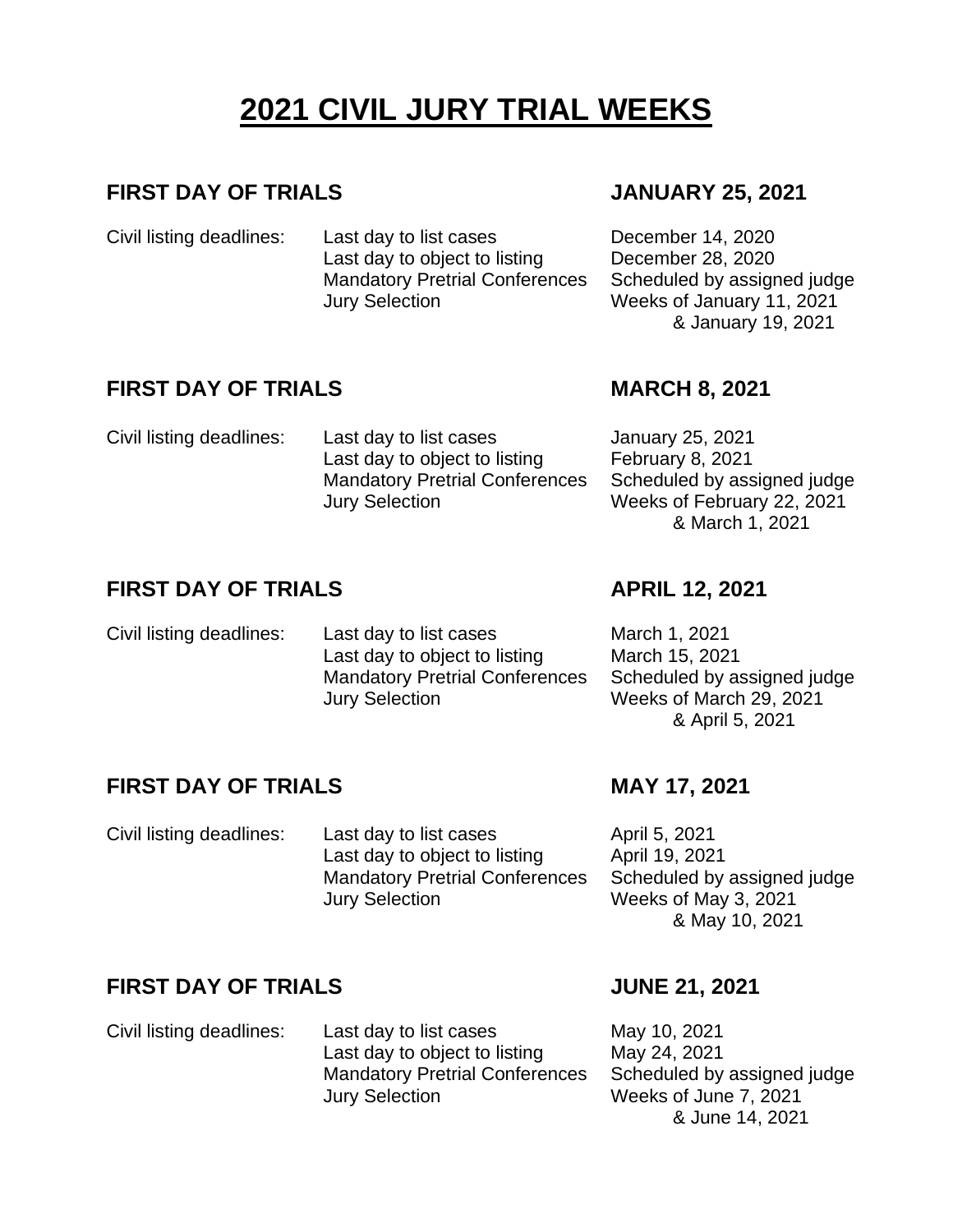# **2021 CIVIL JURY TRIAL WEEKS**

### **FIRST DAY OF TRIALS JANUARY 25, 2021**

Civil listing deadlines: Last day to list cases December 14, 2020 Last day to object to listing December 28, 2020 Mandatory Pretrial Conferences Jury Selection

Jury Selection

### **FIRST DAY OF TRIALS MARCH 8, 2021**

Civil listing deadlines: Last day to list cases January 25, 2021

Scheduled by assigned judge Weeks of January 11, 2021 & January 19, 2021

Last day to object to listing February 8, 2021 Scheduled by assigned judge Weeks of February 22, 2021 & March 1, 2021

# **FIRST DAY OF TRIALS APRIL 12, 2021**

Civil listing deadlines: Last day to list cases March 1, 2021 Last day to object to listing March 15, 2021 Mandatory Pretrial Conferences Jury Selection

Mandatory Pretrial Conferences

Scheduled by assigned judge Weeks of March 29, 2021 & April 5, 2021

# **FIRST DAY OF TRIALS MAY 17, 2021**

Civil listing deadlines: Last day to list cases April 5, 2021 Last day to object to listing April 19, 2021 Mandatory Pretrial Conferences Jury Selection

Scheduled by assigned judge Weeks of May 3, 2021 & May 10, 2021

# **FIRST DAY OF TRIALS JUNE 21, 2021**

Civil listing deadlines: Last day to list cases May 10, 2021 Last day to object to listing May 24, 2021 Mandatory Pretrial Conferences Jury Selection

Scheduled by assigned judge Weeks of June 7, 2021 & June 14, 2021